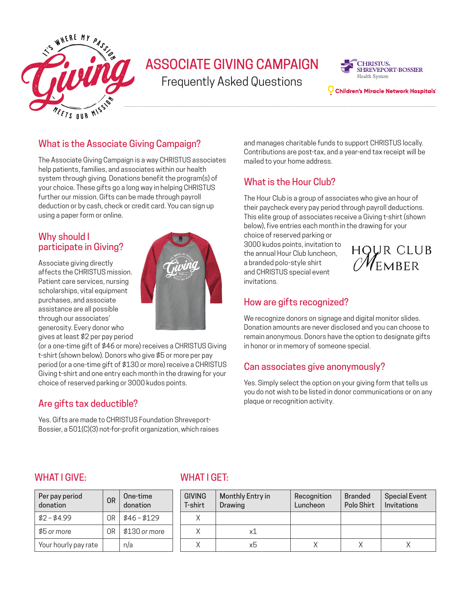

# ASSOCIATE GIVING CAMPAIGN

Frequently Asked Questions



Children's Miracle Network Hospitals

### What is the Associate Giving Campaign?

The Associate Giving Campaign is a way CHRISTUS associates help patients, families, and associates within our health system through giving. Donations benefit the program(s) of your choice. These gifts go a long way in helping CHRISTUS further our mission. Gifts can be made through payroll deduction or by cash, check or credit card. You can sign up using a paper form or online.

#### Why should I participate in Giving?

Associate giving directly affects the CHRISTUS mission. Patient care services, nursing scholarships, vital equipment purchases, and associate assistance are all possible through our associates' generosity. Every donor who gives at least \$2 per pay period



(or a one-time gift of \$46 or more) receives a CHRISTUS Giving t-shirt (shown below). Donors who give \$5 or more per pay period (or a one-time gift of \$130 or more) receive a CHRISTUS Giving t-shirt and one entry each month in the drawing for your choice of reserved parking or 3000 kudos points.

# Are gifts tax deductible?

Yes. Gifts are made to CHRISTUS Foundation Shreveport-Bossier, a 501(C)(3) not-for-profit organization, which raises

and manages charitable funds to support CHRISTUS locally. Contributions are post-tax, and a year-end tax receipt will be mailed to your home address.

# What is the Hour Club?

The Hour Club is a group of associates who give an hour of their paycheck every pay period through payroll deductions. This elite group of associates receive a Giving t-shirt (shown below), five entries each month in the drawing for your

choice of reserved parking or 3000 kudos points, invitation to the annual Hour Club luncheon, a branded polo-style shirt and CHRISTUS special event invitations.



#### How are gifts recognized?

We recognize donors on signage and digital monitor slides. Donation amounts are never disclosed and you can choose to remain anonymous. Donors have the option to designate gifts in honor or in memory of someone special.

# Can associates give anonymously?

Yes. Simply select the option on your giving form that tells us you do not wish to be listed in donor communications or on any plaque or recognition activity.

#### WHAT I GIVE: WHAT I GET

| Per pay period<br>donation | <b>OR</b> | One-time<br>donation |  | GIVI<br>T-sh |
|----------------------------|-----------|----------------------|--|--------------|
| $$2 - $4.99$               | OR.       | $$46 - $129$         |  |              |
| \$5 or more                | 0R        | \$130 or more        |  |              |
| Your hourly pay rate       |           | n/a                  |  |              |

| One-time<br>donation | <b>GIVING</b><br>T-shirt | Monthly Entry in<br>Drawing | Recognition<br>Luncheon | <b>Branded</b><br>Polo Shirt | <b>Special Event</b><br>Invitations |
|----------------------|--------------------------|-----------------------------|-------------------------|------------------------------|-------------------------------------|
| \$46 – \$129         |                          |                             |                         |                              |                                     |
| \$130 or more        |                          | x1                          |                         |                              |                                     |
| ٦/a                  |                          | xb                          |                         |                              |                                     |